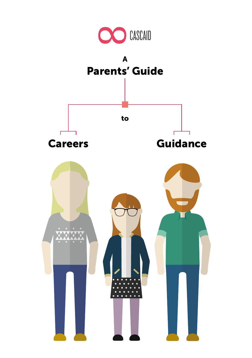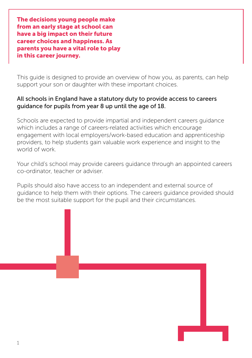The decisions young people make from an early stage at school can have a big impact on their future career choices and happiness. As parents you have a vital role to play in this career journey.

This guide is designed to provide an overview of how you, as parents, can help support your son or daughter with these important choices.

#### All schools in England have a statutory duty to provide access to careers guidance for pupils from year 8 up until the age of 18.

Schools are expected to provide impartial and independent careers guidance which includes a range of careers-related activities which encourage engagement with local employers/work-based education and apprenticeship providers, to help students gain valuable work experience and insight to the world of work.

Your child's school may provide careers guidance through an appointed careers co-ordinator, teacher or adviser.

Pupils should also have access to an independent and external source of guidance to help them with their options. The careers guidance provided should be the most suitable support for the pupil and their circumstances.

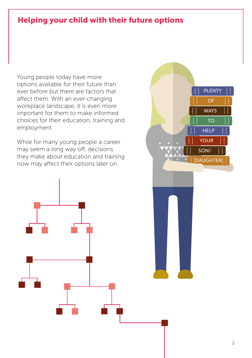## Helping your child with their future options

Young people today have more options available for their future than ever before but there are factors that affect them. With an ever-changing workplace landscape, it is even more important for them to make informed choices for their education, training and employment.

While for many young people a career may seem a long way off, decisions they make about education and training now may affect their options later on.

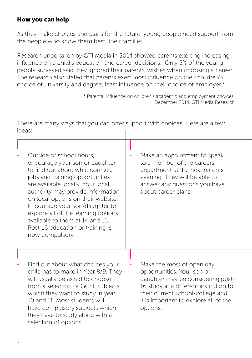#### How you can help

As they make choices and plans for the future, young people need support from the people who know them best; their families.

Research undertaken by GTI Media in 2014 showed parents exerting increasing influence on a child's education and career decisions. Only 5% of the young people surveyed said they ignored their parents' wishes when choosing a career. The research also stated that parents exert most influence on their children's choice of university and degree, least influence on their choice of employer.\*

> \* Parental influence on children's academic and employment choices, December 2014, GTI Media Research

There are many ways that you can offer support with choices. Here are a few ideas:

| Outside of school hours.<br>encourage your son or daughter<br>to find out about what courses,<br>jobs and training opportunities<br>are available locally. Your local<br>authority may provide information<br>on local options on their website.<br>Encourage your son/daughter to<br>explore all of the learning options<br>available to them at 14 and 16.<br>Post-16 education or training is<br>now compulsory. | Make an appointment to speak<br>to a member of the careers<br>department at the next parents'<br>evening. They will be able to<br>answer any questions you have<br>about career plans.                              |
|---------------------------------------------------------------------------------------------------------------------------------------------------------------------------------------------------------------------------------------------------------------------------------------------------------------------------------------------------------------------------------------------------------------------|---------------------------------------------------------------------------------------------------------------------------------------------------------------------------------------------------------------------|
| Find out about what choices your<br>child has to make in Year 8/9. They<br>will usually be asked to choose<br>from a selection of GCSE subjects<br>which they want to study in year<br>10 and 11. Most students will                                                                                                                                                                                                | Make the most of open day<br>opportunities. Your son or<br>daughter may be considering post-<br>16 study at a different institution to<br>their current school/college and<br>it is important to explore all of the |

options.

have compulsory subjects which they have to study along with a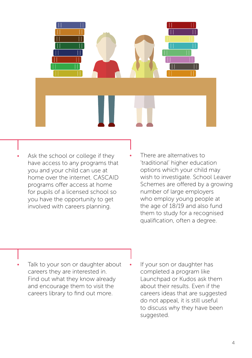

- Ask the school or college if they have access to any programs that you and your child can use at home over the internet. CASCAID programs offer access at home for pupils of a licensed school so you have the opportunity to get involved with careers planning.
- There are alternatives to 'traditional' higher education options which your child may wish to investigate. School Leaver Schemes are offered by a growing number of large employers who employ young people at the age of 18/19 and also fund them to study for a recognised qualification, often a degree.

- Talk to your son or daughter about careers they are interested in. Find out what they know already and encourage them to visit the careers library to find out more.
- If your son or daughter has completed a program like Launchpad or Kudos ask them about their results. Even if the careers ideas that are suggested do not appeal, it is still useful to discuss why they have been suggested.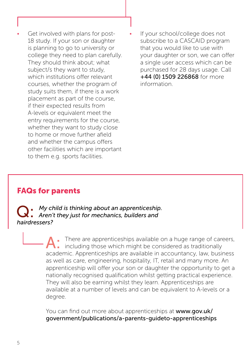- Get involved with plans for post-18 study. If your son or daughter is planning to go to university or college they need to plan carefully. They should think about; what subject/s they want to study, which institutions offer relevant courses, whether the program of study suits them, if there is a work placement as part of the course, if their expected results from A-levels or equivalent meet the entry requirements for the course, whether they want to study close to home or move further afield and whether the campus offers other facilities which are important to them e.g. sports facilities.
- If your school/college does not subscribe to a CASCAID program that you would like to use with your daughter or son, we can offer a single user access which can be purchased for 28 days usage. Call +44 (0) 1509 226868 for more information.

### FAQs for parents

Q: *My child is thinking about an apprenticeship. Aren't they just for mechanics, builders and hairdressers?* 

> There are apprenticeships available on a huge range of careers, including those which might be considered as traditionally academic. Apprenticeships are available in accountancy, law, business as well as care, engineering, hospitality, IT, retail and many more. An apprenticeship will offer your son or daughter the opportunity to get a nationally recognised qualification whilst getting practical experience. They will also be earning whilst they learn. Apprenticeships are available at a number of levels and can be equivalent to A-levels or a degree.

You can find out more about apprenticeships at www.gov.uk/ government/publications/a-parents-guideto-apprenticeships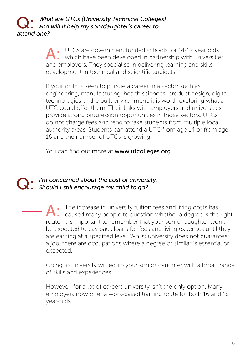# Q: *What are UTCs (University Technical Colleges) and will it help my son/daughter's career to attend one?*

A: UTCs are government funded schools for 14-19 year olds<br>
which have been developed in partnership with universities and employers. They specialise in delivering learning and skills development in technical and scientific subjects.

If your child is keen to pursue a career in a sector such as engineering, manufacturing, health sciences, product design, digital technologies or the built environment, it is worth exploring what a UTC could offer them. Their links with employers and universities provide strong progression opportunities in those sectors. UTCs do not charge fees and tend to take students from multiple local authority areas. Students can attend a UTC from age 14 or from age 16 and the number of UTCs is growing.

You can find out more at www.utcolleges.org

# Q: *I'm concerned about the cost of university. Should I still encourage my child to go?*

A: The increase in university tuition fees and living costs has caused many people to question whether a degree is the right route. It is important to remember that your son or daughter won't be expected to pay back loans for fees and living expenses until they are earning at a specified level. Whilst university does not guarantee a job, there are occupations where a degree or similar is essential or expected.

Going to university will equip your son or daughter with a broad range of skills and experiences.

However, for a lot of careers university isn't the only option. Many employers now offer a work-based training route for both 16 and 18 year-olds.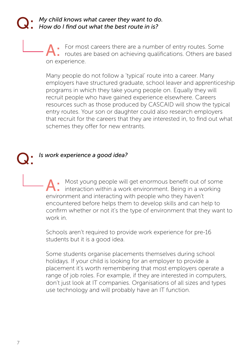# Q: *My child knows what career they want to do. How do I find out what the best route in is?*

A: For most careers there are a number of entry routes. Some<br> **A**: routes are based on achieving qualifications. Others are based on experience.

Many people do not follow a 'typical' route into a career. Many employers have structured graduate, school leaver and apprenticeship programs in which they take young people on. Equally they will recruit people who have gained experience elsewhere. Careers resources such as those produced by CASCAID will show the typical entry routes. Your son or daughter could also research employers that recruit for the careers that they are interested in, to find out what schemes they offer for new entrants.

### Q: *Is work experience a good idea?*

Most young people will get enormous benefit out of some interaction within a work environment. Being in a working environment and interacting with people who they haven't encountered before helps them to develop skills and can help to confirm whether or not it's the type of environment that they want to work in.

Schools aren't required to provide work experience for pre-16 students but it is a good idea.

Some students organise placements themselves during school holidays. If your child is looking for an employer to provide a placement it's worth remembering that most employers operate a range of job roles. For example, if they are interested in computers, don't just look at IT companies. Organisations of all sizes and types use technology and will probably have an IT function.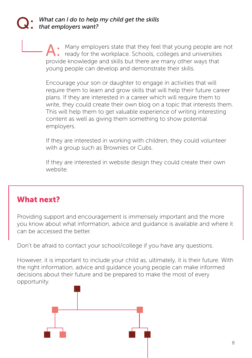### What can I do to help my child get the skills *that employers want?*

Many employers state that they feel that young people are not ready for the workplace. Schools, colleges and universities provide knowledge and skills but there are many other ways that young people can develop and demonstrate their skills.

Encourage your son or daughter to engage in activities that will require them to learn and grow skills that will help their future career plans. If they are interested in a career which will require them to write, they could create their own blog on a topic that interests them. This will help them to get valuable experience of writing interesting content as well as giving them something to show potential employers.

If they are interested in working with children, they could volunteer with a group such as Brownies or Cubs.

If they are interested in website design they could create their own website.

### What next?

Providing support and encouragement is immensely important and the more you know about what information, advice and guidance is available and where it can be accessed the better.

Don't be afraid to contact your school/college if you have any questions.

However, it is important to include your child as, ultimately, it is their future. With the right information, advice and guidance young people can make informed decisions about their future and be prepared to make the most of every opportunity.